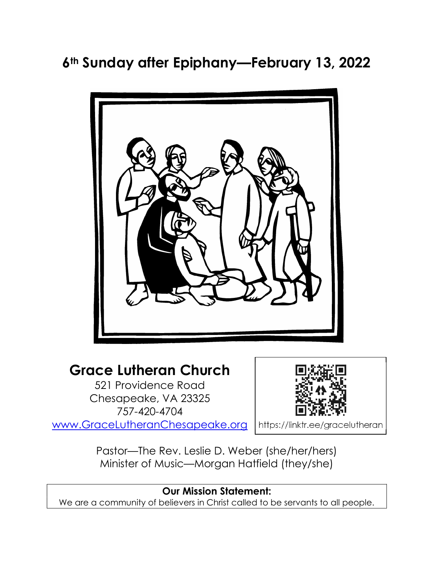# 6<sup>th</sup> Sunday after Epiphany—February 13, 2022



## Grace Lutheran Church

521 Providence Road Chesapeake, VA 23325 757-420-4704 www.GraceLutheranChesapeake.org



Pastor—The Rev. Leslie D. Weber (she/her/hers) Minister of Music—Morgan Hatfield (they/she)

## Our Mission Statement:

We are a community of believers in Christ called to be servants to all people.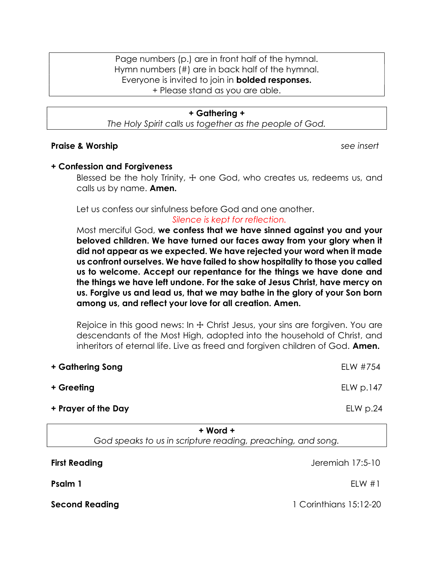Page numbers (p.) are in front half of the hymnal. Hymn numbers (#) are in back half of the hymnal. Everyone is invited to join in **bolded responses.** + Please stand as you are able.

#### + Gathering +

The Holy Spirit calls us together as the people of God.

#### Praise & Worship see insert and the set of the seeding of the seeding seeding and seeding and seeding and seeding seeding and seeding and seeding and seeding and seeding and seeding and seeding and seeding and seeding and

#### + Confession and Forgiveness

Blessed be the holy Trinity,  $\pm$  one God, who creates us, redeems us, and calls us by name. **Amen.** 

Let us confess our sinfulness before God and one another.

#### Silence is kept for reflection.

Most merciful God, we confess that we have sinned against you and your beloved children. We have turned our faces away from your glory when it did not appear as we expected. We have rejected your word when it made us confront ourselves. We have failed to show hospitality to those you called us to welcome. Accept our repentance for the things we have done and the things we have left undone. For the sake of Jesus Christ, have mercy on us. Forgive us and lead us, that we may bathe in the glory of your Son born among us, and reflect your love for all creation. Amen.

Rejoice in this good news: In  $\pm$  Christ Jesus, your sins are forgiven. You are descendants of the Most High, adopted into the household of Christ, and inheritors of eternal life. Live as freed and forgiven children of God. **Amen.** 

| + Gathering Song    | ELW #754                          |
|---------------------|-----------------------------------|
| + Greeting          | E <sub>L</sub> W <sub>D.147</sub> |
| + Prayer of the Day | ELW p.24                          |

+ Word +

God speaks to us in scripture reading, preaching, and song.

**First Reading The Exercise Security Contracts Contracts First Reading Telecommunity Contracts According to According Telecommunity Contracts According to According the United States of the According Telecommunity Contract Psalm 1** ELW #1 Second Reading 15:12-20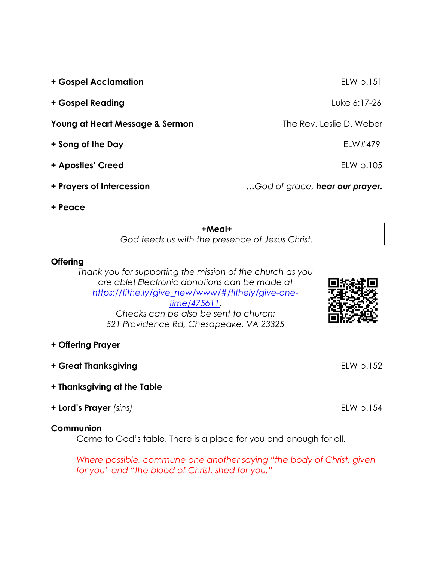| + Gospel Acclamation            | $EL$ p.151                     |
|---------------------------------|--------------------------------|
| + Gospel Reading                | Luke 6:17-26                   |
| Young at Heart Message & Sermon | The Rev. Leslie D. Weber       |
| + Song of the Day               | ELW#479                        |
| + Apostles' Creed               | ELW p.105                      |
| + Prayers of Intercession       | God of grace, hear our prayer. |
| + Peace                         |                                |

+Meal+ God feeds us with the presence of Jesus Christ.

#### **Offering**

Thank you for supporting the mission of the church as you are able! Electronic donations can be made at https://tithe.ly/give\_new/www/#/tithely/give-onetime/475611. Checks can be also be sent to church: 521 Providence Rd, Chesapeake, VA 23325



### + Offering Prayer

- + Great Thanksgiving entitled by the ELW p.152
- + Thanksgiving at the Table
- + Lord's Prayer (sins) ELW p.154

#### **Communion**

Come to God's table. There is a place for you and enough for all.

Where possible, commune one another saying "the body of Christ, given for you" and "the blood of Christ, shed for you."